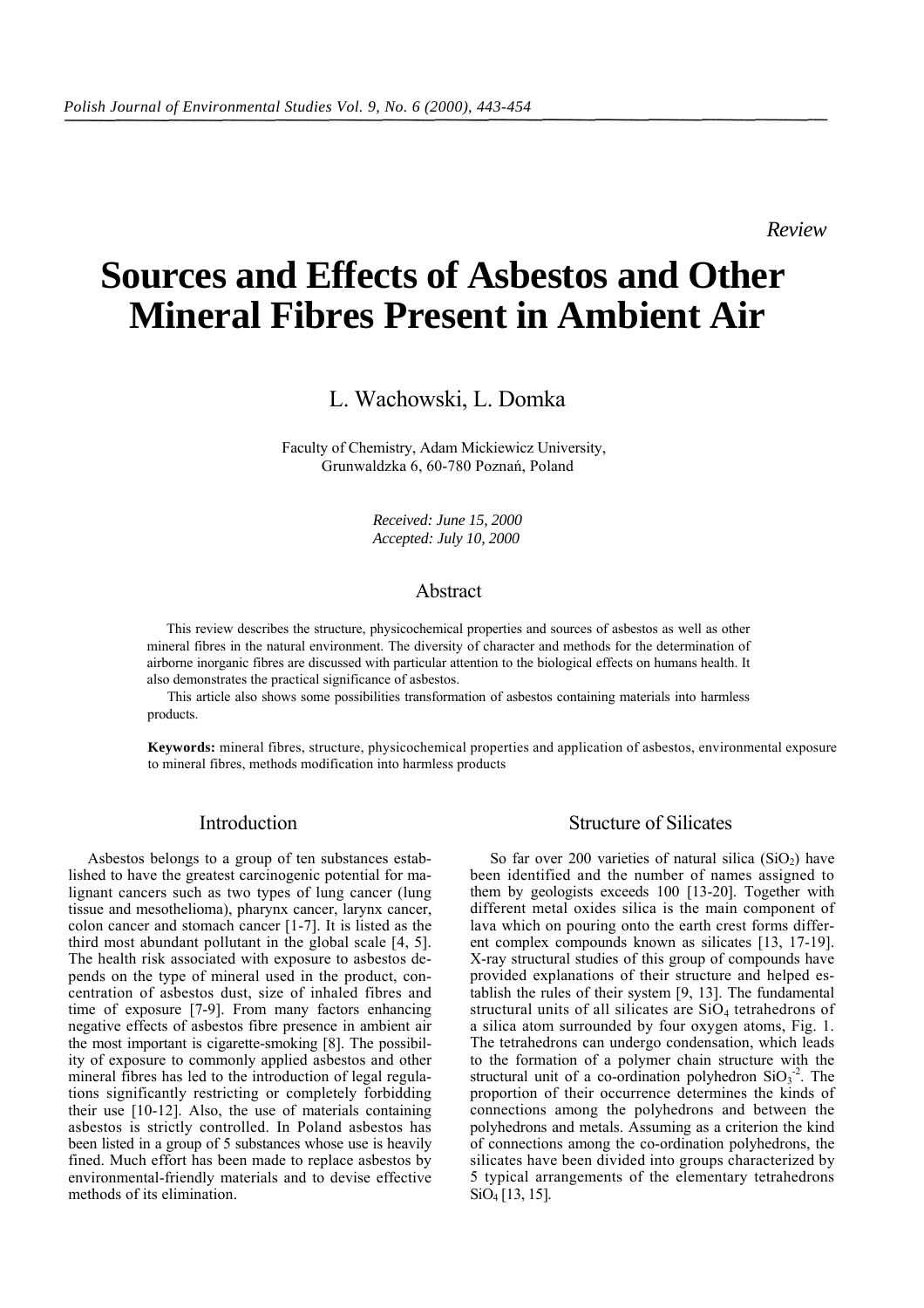*Review*

# **Sources and Effects of Asbestos and Other Mineral Fibres Present in Ambient Air**

L. Wachowski, L. Domka

Faculty of Chemistry, Adam Mickiewicz University, Grunwaldzka 6, 60-780 Poznań, Poland

> *Received: June 15, 2000 Accepted: July 10, 2000*

## Abstract

This review describes the structure, physicochemical properties and sources of asbestos as well as other mineral fibres in the natural environment. The diversity of character and methods for the determination of airborne inorganic fibres are discussed with particular attention to the biological effects on humans health. It also demonstrates the practical significance of asbestos.

This article also shows some possibilities transformation of asbestos containing materials into harmless products.

**Keywords:** mineral fibres, structure, physicochemical properties and application of asbestos, environmental exposure to mineral fibres, methods modification into harmless products

### Introduction

Asbestos belongs to a group of ten substances established to have the greatest carcinogenic potential for malignant cancers such as two types of lung cancer (lung tissue and mesothelioma), pharynx cancer, larynx cancer, colon cancer and stomach cancer [1-7]. It is listed as the third most abundant pollutant in the global scale [4, 5]. The health risk associated with exposure to asbestos depends on the type of mineral used in the product, concentration of asbestos dust, size of inhaled fibres and time of exposure [7-9]. From many factors enhancing negative effects of asbestos fibre presence in ambient air the most important is cigarette-smoking [8]. The possibility of exposure to commonly applied asbestos and other mineral fibres has led to the introduction of legal regulations significantly restricting or completely forbidding their use [10-12]. Also, the use of materials containing asbestos is strictly controlled. In Poland asbestos has been listed in a group of 5 substances whose use is heavily fined. Much effort has been made to replace asbestos by environmental-friendly materials and to devise effective methods of its elimination.

### Structure of Silicates

So far over 200 varieties of natural silica  $(SiO<sub>2</sub>)$  have been identified and the number of names assigned to them by geologists exceeds 100 [13-20]. Together with different metal oxides silica is the main component of lava which on pouring onto the earth crest forms different complex compounds known as silicates [13, 17-19]. X-ray structural studies of this group of compounds have provided explanations of their structure and helped establish the rules of their system [9, 13]. The fundamental structural units of all silicates are  $SiO<sub>4</sub>$  tetrahedrons of a silica atom surrounded by four oxygen atoms, Fig. 1. The tetrahedrons can undergo condensation, which leads to the formation of a polymer chain structure with the structural unit of a co-ordination polyhedron  $SiO<sub>3</sub><sup>-2</sup>$ . The proportion of their occurrence determines the kinds of connections among the polyhedrons and between the polyhedrons and metals. Assuming as a criterion the kind of connections among the co-ordination polyhedrons, the silicates have been divided into groups characterized by 5 typical arrangements of the elementary tetrahedrons SiO4 [13, 15].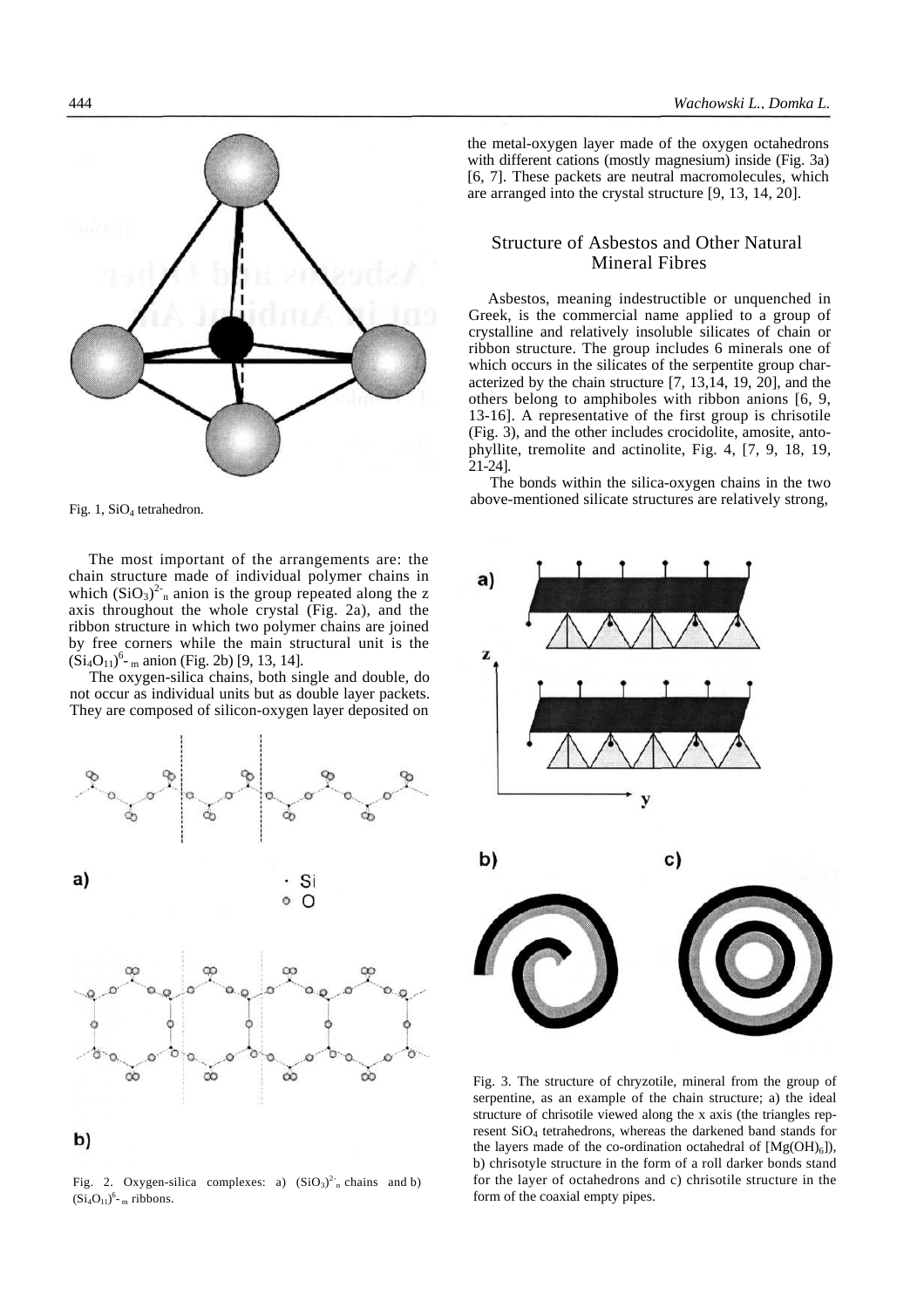the metal-oxygen layer made of the oxygen octahedrons with different cations (mostly magnesium) inside (Fig. 3a) [6, 7]. These packets are neutral macromolecules, which are arranged into the crystal structure [9, 13, 14, 20].

### Structure of Asbestos and Other Natural Mineral Fibres

Asbestos, meaning indestructible or unquenched in Greek, is the commercial name applied to a group of crystalline and relatively insoluble silicates of chain or ribbon structure. The group includes 6 minerals one of which occurs in the silicates of the serpentite group characterized by the chain structure [7, 13,14, 19, 20], and the others belong to amphiboles with ribbon anions [6, 9, 13-16]. A representative of the first group is chrisotile (Fig. 3), and the other includes crocidolite, amosite, antophyllite, tremolite and actinolite, Fig. 4, [7, 9, 18, 19, 21-24].

The bonds within the silica-oxygen chains in the two above-mentioned silicate structures are relatively strong,





form of the coaxial empty pipes.





Fig. 1,  $SiO<sub>4</sub>$  tetrahedron.

The most important of the arrangements are: the chain structure made of individual polymer chains in which  $(SiO_3)^2$ <sup>-</sup> anion is the group repeated along the z axis throughout the whole crystal (Fig. 2a), and the ribbon structure in which two polymer chains are joined by free corners while the main structural unit is the  $(Si_4O_{11})^6$ - <sub>m</sub> anion (Fig. 2b) [9, 13, 14].

The oxygen-silica chains, both single and double, do not occur as individual units but as double layer packets. They are composed of silicon-oxygen layer deposited on



Fig. 2. Oxygen-silica complexes: a)  $(SiO<sub>3</sub>)<sup>2</sup>$ <sub>n</sub> chains and b)  $(Si_4O_{11})^6$ - m ribbons.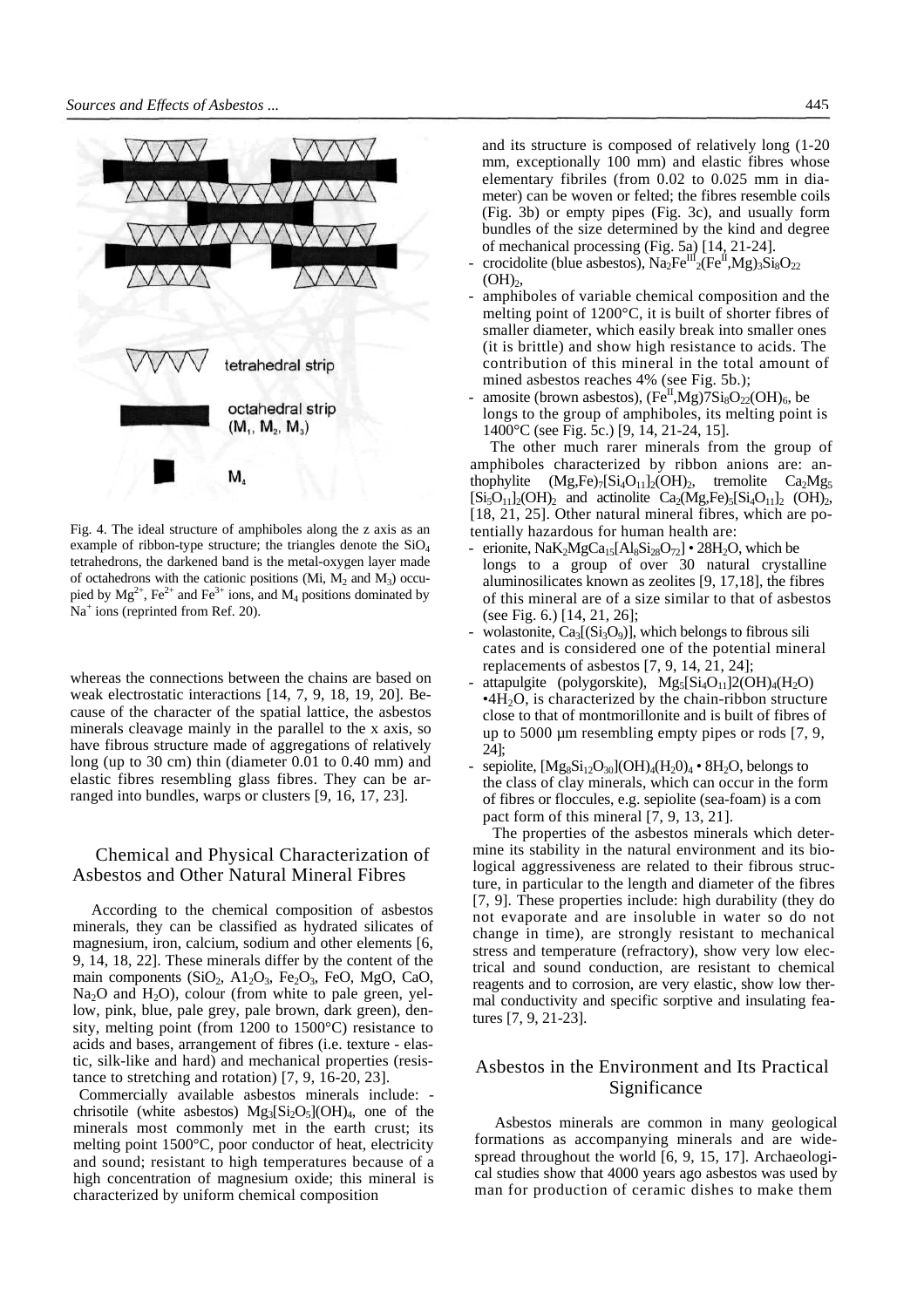

Fig. 4. The ideal structure of amphiboles along the z axis as an example of ribbon-type structure; the triangles denote the  $SiO<sub>4</sub>$ tetrahedrons, the darkened band is the metal-oxygen layer made of octahedrons with the cationic positions (Mi,  $M_2$  and  $M_3$ ) occupied by  $Mg^{2+}$ , Fe<sup>2+</sup> and Fe<sup>3+</sup> ions, and  $M_4$  positions dominated by Na<sup>+</sup> ions (reprinted from Ref. 20).

whereas the connections between the chains are based on weak electrostatic interactions [14, 7, 9, 18, 19, 20]. Because of the character of the spatial lattice, the asbestos minerals cleavage mainly in the parallel to the x axis, so have fibrous structure made of aggregations of relatively long (up to 30 cm) thin (diameter 0.01 to 0.40 mm) and elastic fibres resembling glass fibres. They can be arranged into bundles, warps or clusters [9, 16, 17, 23].

## Chemical and Physical Characterization of Asbestos and Other Natural Mineral Fibres

According to the chemical composition of asbestos minerals, they can be classified as hydrated silicates of magnesium, iron, calcium, sodium and other elements [6, 9, 14, 18, 22]. These minerals differ by the content of the main components  $(SiO<sub>2</sub>, A1<sub>2</sub>O<sub>3</sub>, Fe<sub>2</sub>O<sub>3</sub>, FeO, MgO, CaO,$  $Na<sub>2</sub>O$  and  $H<sub>2</sub>O$ , colour (from white to pale green, yellow, pink, blue, pale grey, pale brown, dark green), density, melting point (from 1200 to 1500°C) resistance to acids and bases, arrangement of fibres (i.e. texture - elastic, silk-like and hard) and mechanical properties (resistance to stretching and rotation) [7, 9, 16-20, 23].

Commercially available asbestos minerals include: chrisotile (white asbestos)  $Mg_3[Si_2O_5](OH)_4$ , one of the minerals most commonly met in the earth crust; its melting point 1500°C, poor conductor of heat, electricity and sound; resistant to high temperatures because of a high concentration of magnesium oxide; this mineral is characterized by uniform chemical composition

and its structure is composed of relatively long (1-20 mm, exceptionally 100 mm) and elastic fibres whose elementary fibriles (from 0.02 to 0.025 mm in diameter) can be woven or felted; the fibres resemble coils (Fig. 3b) or empty pipes (Fig. 3c), and usually form bundles of the size determined by the kind and degree of mechanical processing (Fig. 5a) [14, 21-24].

- crocidolite (blue asbestos),  $\text{Na}_2\text{Fe}^{\text{II}}_2(\text{Fe}^{\text{II}},\text{Mg})_3\text{Si}_8\text{O}_{22}$  $(OH)_{2}$ ,
- amphiboles of variable chemical composition and the melting point of 1200°C, it is built of shorter fibres of smaller diameter, which easily break into smaller ones (it is brittle) and show high resistance to acids. The contribution of this mineral in the total amount of mined asbestos reaches 4% (see Fig. 5b.);
- amosite (brown asbestos),  $(Fe^{II}, Mg)7Si_8O_{22}(OH)_{6}$ , be longs to the group of amphiboles, its melting point is 1400°C (see Fig. 5c.) [9, 14, 21-24, 15].

The other much rarer minerals from the group of amphiboles characterized by ribbon anions are: anthophylite  $(Mg,Fe)_{7}[Si<sub>4</sub>O<sub>11</sub>]<sub>2</sub>(OH)<sub>2</sub>$ , tremolite  $Ca<sub>2</sub>Mg<sub>5</sub>$  $[Si_5O_{11}]_2(OH)_2$  and actinolite  $Ca_2(Mg,Fe)_5[Si_4O_{11}]_2$  (OH)<sub>2</sub>, [18, 21, 25]. Other natural mineral fibres, which are potentially hazardous for human health are:

- erionite,  $NaK_2MgCa_{15}[Al_8Si_{28}O_{72}] \cdot 28H_2O$ , which be longs to a group of over 30 natural crystalline aluminosilicates known as zeolites [9, 17,18], the fibres of this mineral are of a size similar to that of asbestos (see Fig. 6.) [14, 21, 26];
- wolastonite,  $Ca_3[(Si_3O_9)]$ , which belongs to fibrous sili cates and is considered one of the potential mineral replacements of asbestos [7, 9, 14, 21, 24];
- attapulgite (polygorskite),  $Mg_5[Si_4O_{11}]2(OH)_4(H_2O)$  $\cdot$ 4H<sub>2</sub>O, is characterized by the chain-ribbon structure close to that of montmorillonite and is built of fibres of up to 5000 µm resembling empty pipes or rods [7, 9, 24];
- sepiolite,  $[Mg_8Si_{12}O_{30}] (OH)_4(H_2O)_4 \cdot 8H_2O$ , belongs to the class of clay minerals, which can occur in the form of fibres or floccules, e.g. sepiolite (sea-foam) is a com pact form of this mineral [7, 9, 13, 21].

The properties of the asbestos minerals which determine its stability in the natural environment and its biological aggressiveness are related to their fibrous structure, in particular to the length and diameter of the fibres [7, 9]. These properties include: high durability (they do not evaporate and are insoluble in water so do not change in time), are strongly resistant to mechanical stress and temperature (refractory), show very low electrical and sound conduction, are resistant to chemical reagents and to corrosion, are very elastic, show low thermal conductivity and specific sorptive and insulating features [7, 9, 21-23].

## Asbestos in the Environment and Its Practical Significance

Asbestos minerals are common in many geological formations as accompanying minerals and are widespread throughout the world [6, 9, 15, 17]. Archaeological studies show that 4000 years ago asbestos was used by man for production of ceramic dishes to make them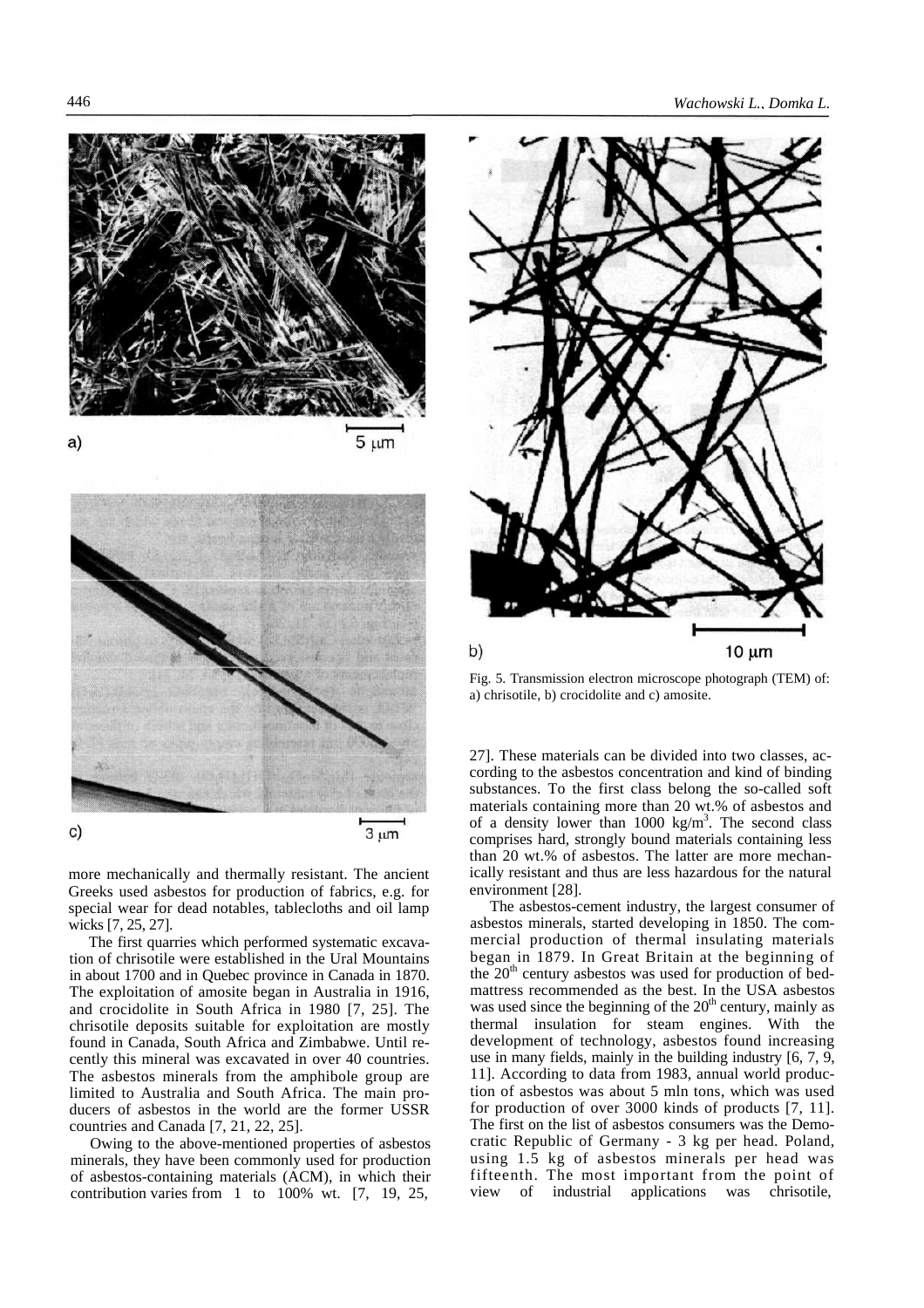

more mechanically and thermally resistant. The ancient Greeks used asbestos for production of fabrics, e.g. for special wear for dead notables, tablecloths and oil lamp wicks [7, 25, 27].

The first quarries which performed systematic excavation of chrisotile were established in the Ural Mountains in about 1700 and in Quebec province in Canada in 1870. The exploitation of amosite began in Australia in 1916, and crocidolite in South Africa in 1980 [7, 25]. The chrisotile deposits suitable for exploitation are mostly found in Canada, South Africa and Zimbabwe. Until recently this mineral was excavated in over 40 countries. The asbestos minerals from the amphibole group are limited to Australia and South Africa. The main producers of asbestos in the world are the former USSR countries and Canada [7, 21, 22, 25].

Owing to the above-mentioned properties of asbestos minerals, they have been commonly used for production of asbestos-containing materials (ACM), in which their contribution varies from 1 to 100% wt. [7, 19, 25,



Fig. 5. Transmission electron microscope photograph (TEM) of: a) chrisotile, b) crocidolite and c) amosite.

27]. These materials can be divided into two classes, according to the asbestos concentration and kind of binding substances. To the first class belong the so-called soft materials containing more than 20 wt.% of asbestos and of a density lower than  $1000 \text{ kg/m}^3$ . The second class comprises hard, strongly bound materials containing less than 20 wt.% of asbestos. The latter are more mechanically resistant and thus are less hazardous for the natural environment [28].

The asbestos-cement industry, the largest consumer of asbestos minerals, started developing in 1850. The commercial production of thermal insulating materials began in 1879. In Great Britain at the beginning of the 20<sup>th</sup> century asbestos was used for production of bedmattress recommended as the best. In the USA asbestos was used since the beginning of the  $20<sup>th</sup>$  century, mainly as thermal insulation for steam engines. With the development of technology, asbestos found increasing use in many fields, mainly in the building industry [6, 7, 9, 11]. According to data from 1983, annual world production of asbestos was about 5 mln tons, which was used for production of over 3000 kinds of products [7, 11]. The first on the list of asbestos consumers was the Democratic Republic of Germany - 3 kg per head. Poland, using 1.5 kg of asbestos minerals per head was fifteenth. The most important from the point of view of industrial applications was chrisotile,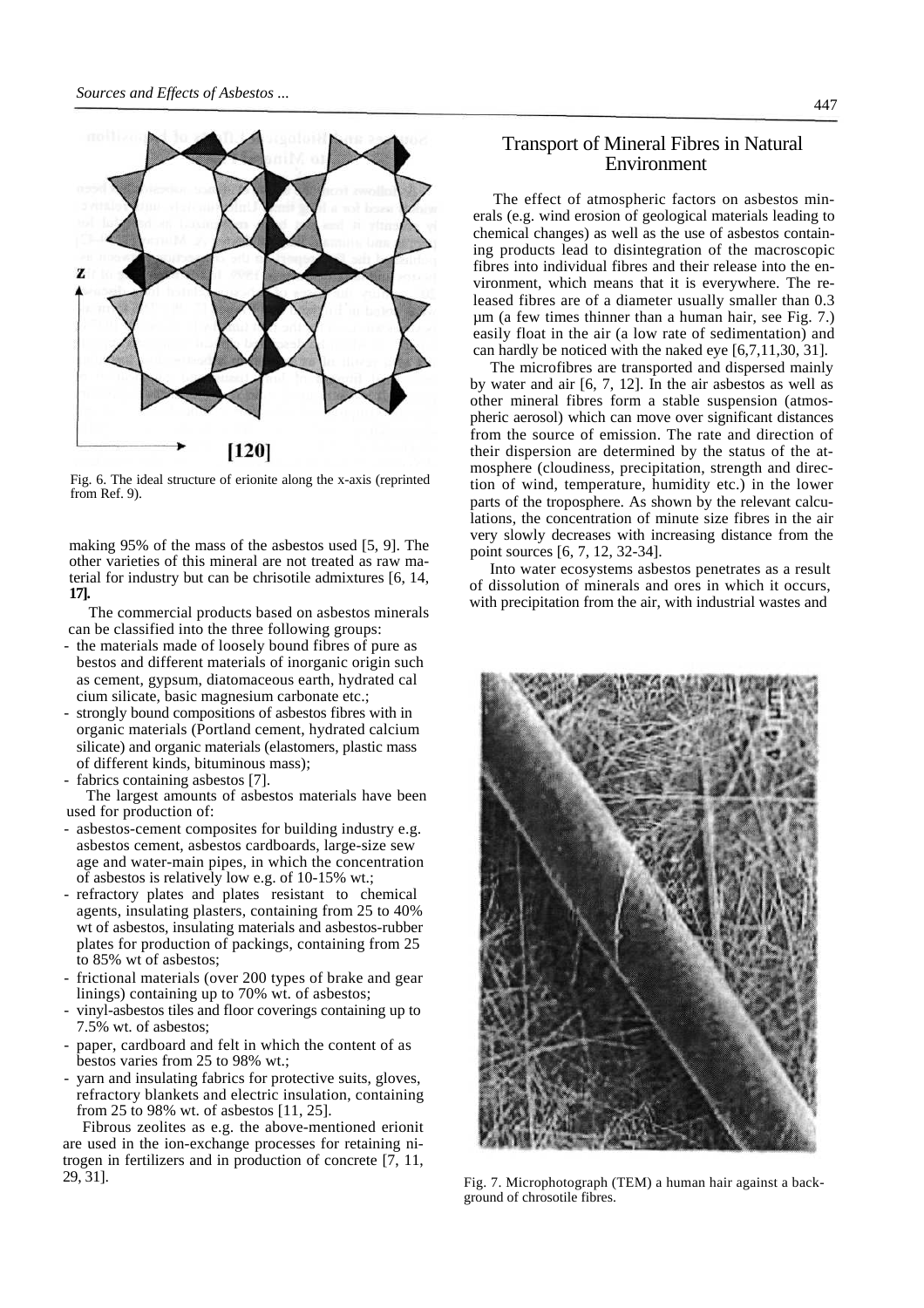

Fig. 6. The ideal structure of erionite along the x-axis (reprinted from Ref. 9).

making 95% of the mass of the asbestos used [5, 9]. The other varieties of this mineral are not treated as raw material for industry but can be chrisotile admixtures [6, 14, **17].**

The commercial products based on asbestos minerals can be classified into the three following groups:

- the materials made of loosely bound fibres of pure as bestos and different materials of inorganic origin such as cement, gypsum, diatomaceous earth, hydrated cal cium silicate, basic magnesium carbonate etc.;
- strongly bound compositions of asbestos fibres with in organic materials (Portland cement, hydrated calcium silicate) and organic materials (elastomers, plastic mass of different kinds, bituminous mass);
- fabrics containing asbestos [7].

The largest amounts of asbestos materials have been used for production of:

- asbestos-cement composites for building industry e.g. asbestos cement, asbestos cardboards, large-size sew age and water-main pipes, in which the concentration of asbestos is relatively low e.g. of 10-15% wt.;
- refractory plates and plates resistant to chemical agents, insulating plasters, containing from 25 to 40% wt of asbestos, insulating materials and asbestos-rubber plates for production of packings, containing from 25 to 85% wt of asbestos;
- frictional materials (over 200 types of brake and gear linings) containing up to 70% wt. of asbestos;
- vinyl-asbestos tiles and floor coverings containing up to 7.5% wt. of asbestos;
- paper, cardboard and felt in which the content of as bestos varies from 25 to 98% wt.;
- yarn and insulating fabrics for protective suits, gloves, refractory blankets and electric insulation, containing from 25 to 98% wt. of asbestos [11, 25].

Fibrous zeolites as e.g. the above-mentioned erionit are used in the ion-exchange processes for retaining nitrogen in fertilizers and in production of concrete [7, 11, 29, 31].

# Transport of Mineral Fibres in Natural Environment

The effect of atmospheric factors on asbestos minerals (e.g. wind erosion of geological materials leading to chemical changes) as well as the use of asbestos containing products lead to disintegration of the macroscopic fibres into individual fibres and their release into the environment, which means that it is everywhere. The released fibres are of a diameter usually smaller than 0.3 µm (a few times thinner than a human hair, see Fig. 7.) easily float in the air (a low rate of sedimentation) and can hardly be noticed with the naked eye [6,7,11,30, 31].

The microfibres are transported and dispersed mainly by water and air [6, 7, 12]. In the air asbestos as well as other mineral fibres form a stable suspension (atmospheric aerosol) which can move over significant distances from the source of emission. The rate and direction of their dispersion are determined by the status of the atmosphere (cloudiness, precipitation, strength and direction of wind, temperature, humidity etc.) in the lower parts of the troposphere. As shown by the relevant calculations, the concentration of minute size fibres in the air very slowly decreases with increasing distance from the point sources [6, 7, 12, 32-34].

Into water ecosystems asbestos penetrates as a result of dissolution of minerals and ores in which it occurs, with precipitation from the air, with industrial wastes and



Fig. 7. Microphotograph (TEM) a human hair against a background of chrosotile fibres.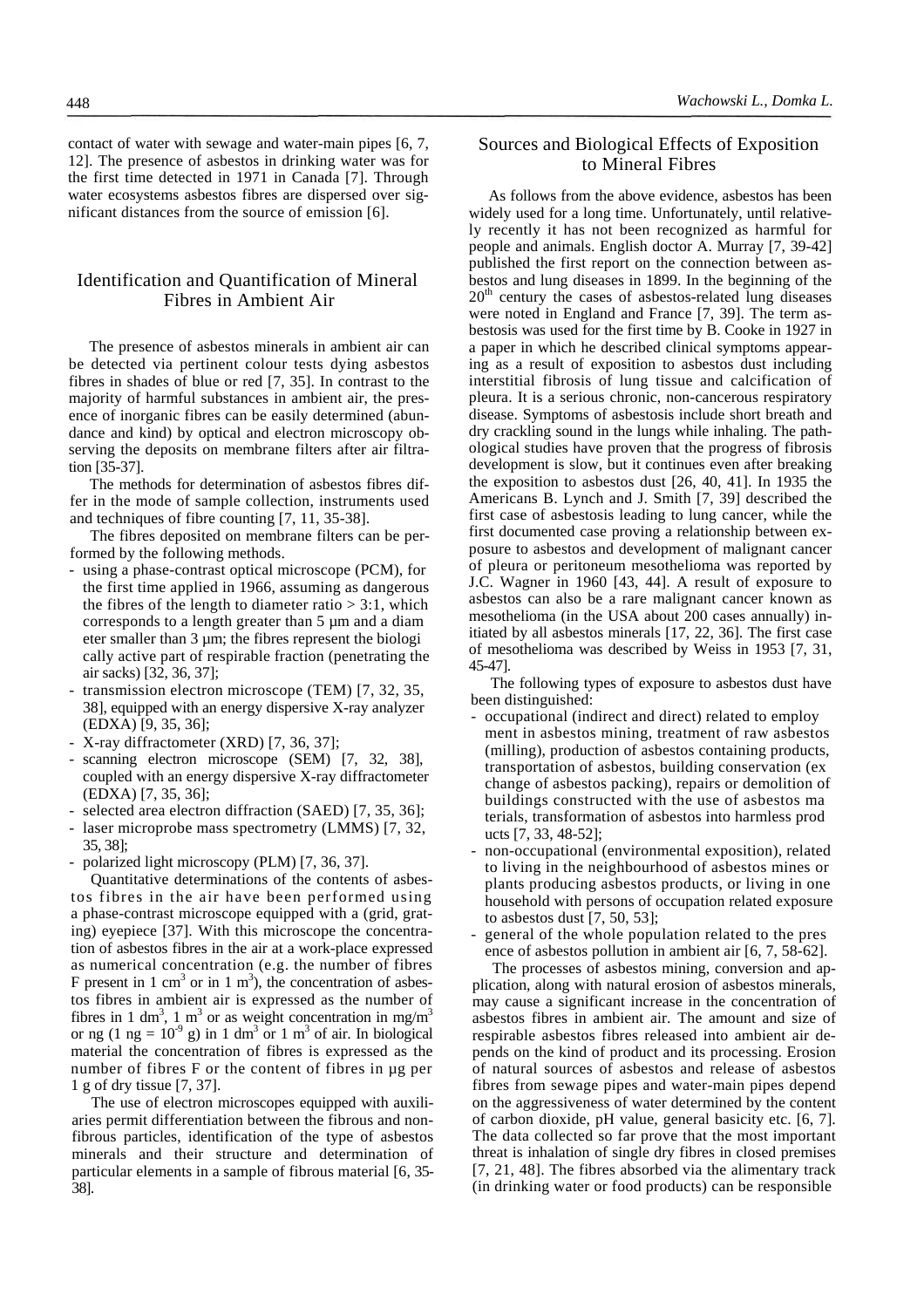contact of water with sewage and water-main pipes [6, 7, 12]. The presence of asbestos in drinking water was for the first time detected in 1971 in Canada [7]. Through water ecosystems asbestos fibres are dispersed over significant distances from the source of emission [6].

# Identification and Quantification of Mineral Fibres in Ambient Air

The presence of asbestos minerals in ambient air can be detected via pertinent colour tests dying asbestos fibres in shades of blue or red [7, 35]. In contrast to the majority of harmful substances in ambient air, the presence of inorganic fibres can be easily determined (abundance and kind) by optical and electron microscopy observing the deposits on membrane filters after air filtration [35-37].

The methods for determination of asbestos fibres differ in the mode of sample collection, instruments used and techniques of fibre counting [7, 11, 35-38].

The fibres deposited on membrane filters can be performed by the following methods.

- using a phase-contrast optical microscope (PCM), for the first time applied in 1966, assuming as dangerous the fibres of the length to diameter ratio  $> 3:1$ , which corresponds to a length greater than 5 µm and a diam eter smaller than 3 µm; the fibres represent the biologi cally active part of respirable fraction (penetrating the air sacks) [32, 36, 37];
- transmission electron microscope (TEM) [7, 32, 35, 38], equipped with an energy dispersive X-ray analyzer (EDXA) [9, 35, 36];
- X-ray diffractometer (XRD) [7, 36, 37];
- scanning electron microscope (SEM) [7, 32, 38], coupled with an energy dispersive X-ray diffractometer (EDXA) [7, 35, 36];
- selected area electron diffraction (SAED) [7, 35, 36];
- laser microprobe mass spectrometry (LMMS) [7, 32, 35, 38];
- polarized light microscopy (PLM) [7, 36, 37].

Quantitative determinations of the contents of asbestos fibres in the air have been performed using a phase-contrast microscope equipped with a (grid, grating) eyepiece [37]. With this microscope the concentration of asbestos fibres in the air at a work-place expressed as numerical concentration (e.g. the number of fibres F present in 1 cm<sup>3</sup> or in 1 m<sup>3</sup>), the concentration of asbestos fibres in ambient air is expressed as the number of fibres in 1 dm<sup>3</sup>, 1 m<sup>3</sup> or as weight concentration in mg/m<sup>3</sup> or ng  $(1 \text{ ng} = 10^{-9} \text{ g})$  in 1 dm<sup>3</sup> or 1 m<sup>3</sup> of air. In biological material the concentration of fibres is expressed as the number of fibres F or the content of fibres in µg per 1 g of dry tissue [7, 37].

The use of electron microscopes equipped with auxiliaries permit differentiation between the fibrous and nonfibrous particles, identification of the type of asbestos minerals and their structure and determination of particular elements in a sample of fibrous material [6, 35- 38].

## Sources and Biological Effects of Exposition to Mineral Fibres

As follows from the above evidence, asbestos has been widely used for a long time. Unfortunately, until relatively recently it has not been recognized as harmful for people and animals. English doctor A. Murray [7, 39-42] published the first report on the connection between asbestos and lung diseases in 1899. In the beginning of the  $20<sup>th</sup>$  century the cases of asbestos-related lung diseases were noted in England and France [7, 39]. The term asbestosis was used for the first time by B. Cooke in 1927 in a paper in which he described clinical symptoms appearing as a result of exposition to asbestos dust including interstitial fibrosis of lung tissue and calcification of pleura. It is a serious chronic, non-cancerous respiratory disease. Symptoms of asbestosis include short breath and dry crackling sound in the lungs while inhaling. The pathological studies have proven that the progress of fibrosis development is slow, but it continues even after breaking the exposition to asbestos dust [26, 40, 41]. In 1935 the Americans B. Lynch and J. Smith [7, 39] described the first case of asbestosis leading to lung cancer, while the first documented case proving a relationship between exposure to asbestos and development of malignant cancer of pleura or peritoneum mesothelioma was reported by J.C. Wagner in 1960 [43, 44]. A result of exposure to asbestos can also be a rare malignant cancer known as mesothelioma (in the USA about 200 cases annually) initiated by all asbestos minerals [17, 22, 36]. The first case of mesothelioma was described by Weiss in 1953 [7, 31, 45-47].

The following types of exposure to asbestos dust have been distinguished:

- occupational (indirect and direct) related to employ ment in asbestos mining, treatment of raw asbestos (milling), production of asbestos containing products, transportation of asbestos, building conservation (ex change of asbestos packing), repairs or demolition of buildings constructed with the use of asbestos ma terials, transformation of asbestos into harmless prod ucts [7, 33, 48-52];
- non-occupational (environmental exposition), related to living in the neighbourhood of asbestos mines or plants producing asbestos products, or living in one household with persons of occupation related exposure to asbestos dust [7, 50, 53];
- general of the whole population related to the pres ence of asbestos pollution in ambient air [6, 7, 58-62].

The processes of asbestos mining, conversion and application, along with natural erosion of asbestos minerals, may cause a significant increase in the concentration of asbestos fibres in ambient air. The amount and size of respirable asbestos fibres released into ambient air depends on the kind of product and its processing. Erosion of natural sources of asbestos and release of asbestos fibres from sewage pipes and water-main pipes depend on the aggressiveness of water determined by the content of carbon dioxide, pH value, general basicity etc. [6, 7]. The data collected so far prove that the most important threat is inhalation of single dry fibres in closed premises [7, 21, 48]. The fibres absorbed via the alimentary track (in drinking water or food products) can be responsible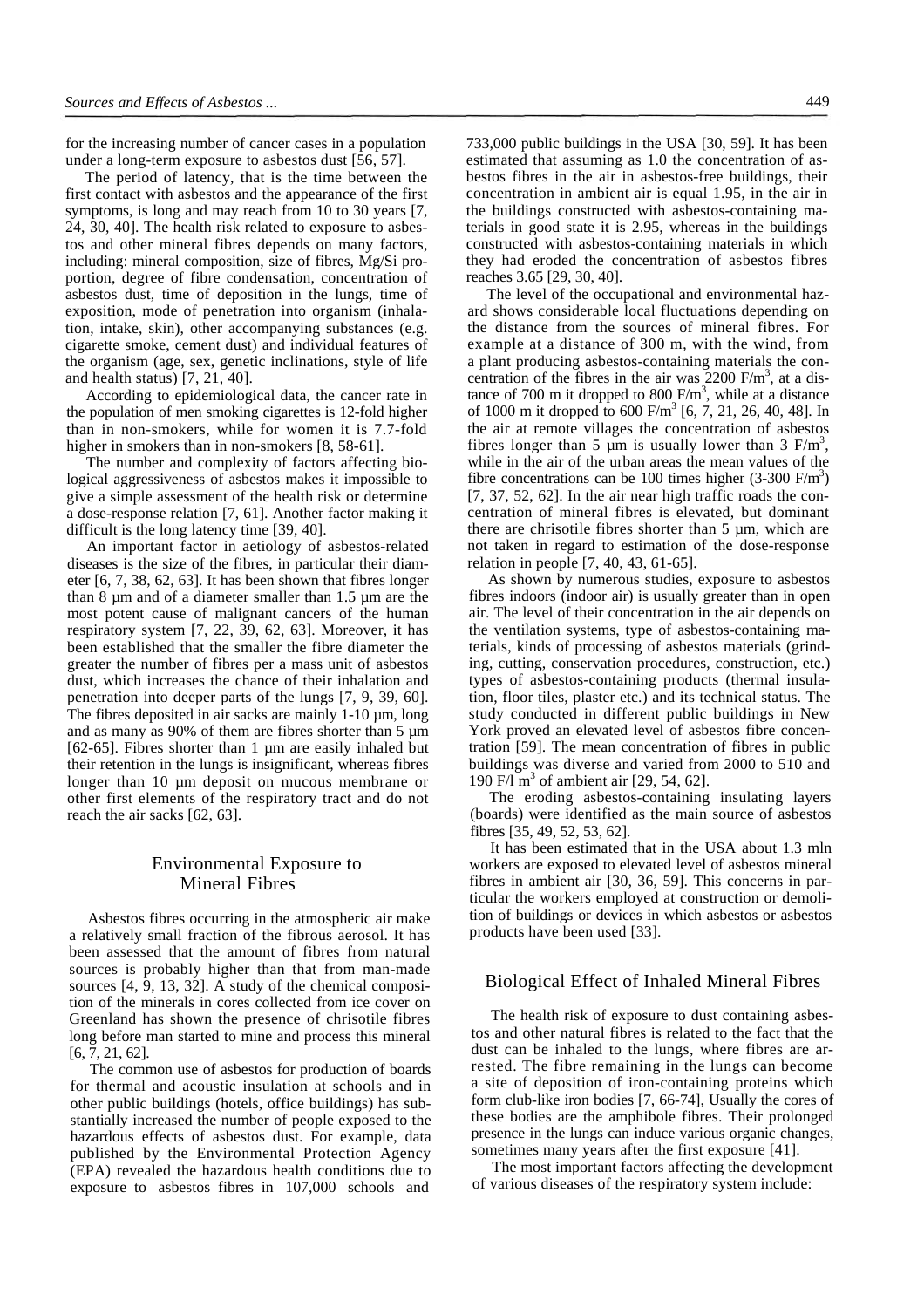for the increasing number of cancer cases in a population under a long-term exposure to asbestos dust [56, 57].

The period of latency, that is the time between the first contact with asbestos and the appearance of the first symptoms, is long and may reach from 10 to 30 years [7, 24, 30, 40]. The health risk related to exposure to asbestos and other mineral fibres depends on many factors, including: mineral composition, size of fibres, Mg/Si proportion, degree of fibre condensation, concentration of asbestos dust, time of deposition in the lungs, time of exposition, mode of penetration into organism (inhalation, intake, skin), other accompanying substances (e.g. cigarette smoke, cement dust) and individual features of the organism (age, sex, genetic inclinations, style of life and health status) [7, 21, 40].

According to epidemiological data, the cancer rate in the population of men smoking cigarettes is 12-fold higher than in non-smokers, while for women it is 7.7-fold higher in smokers than in non-smokers [8, 58-61].

The number and complexity of factors affecting biological aggressiveness of asbestos makes it impossible to give a simple assessment of the health risk or determine a dose-response relation [7, 61]. Another factor making it difficult is the long latency time [39, 40].

An important factor in aetiology of asbestos-related diseases is the size of the fibres, in particular their diameter [6, 7, 38, 62, 63]. It has been shown that fibres longer than 8 µm and of a diameter smaller than 1.5 µm are the most potent cause of malignant cancers of the human respiratory system [7, 22, 39, 62, 63]. Moreover, it has been established that the smaller the fibre diameter the greater the number of fibres per a mass unit of asbestos dust, which increases the chance of their inhalation and penetration into deeper parts of the lungs [7, 9, 39, 60]. The fibres deposited in air sacks are mainly 1-10 µm, long and as many as 90% of them are fibres shorter than 5 µm [62-65]. Fibres shorter than 1 µm are easily inhaled but their retention in the lungs is insignificant, whereas fibres longer than 10  $\mu$ m deposit on mucous membrane or other first elements of the respiratory tract and do not reach the air sacks [62, 63].

## Environmental Exposure to Mineral Fibres

Asbestos fibres occurring in the atmospheric air make a relatively small fraction of the fibrous aerosol. It has been assessed that the amount of fibres from natural sources is probably higher than that from man-made sources [4, 9, 13, 32]. A study of the chemical composition of the minerals in cores collected from ice cover on Greenland has shown the presence of chrisotile fibres long before man started to mine and process this mineral [6, 7, 21, 62].

The common use of asbestos for production of boards for thermal and acoustic insulation at schools and in other public buildings (hotels, office buildings) has substantially increased the number of people exposed to the hazardous effects of asbestos dust. For example, data published by the Environmental Protection Agency (EPA) revealed the hazardous health conditions due to exposure to asbestos fibres in 107,000 schools and

733,000 public buildings in the USA [30, 59]. It has been estimated that assuming as 1.0 the concentration of asbestos fibres in the air in asbestos-free buildings, their concentration in ambient air is equal 1.95, in the air in the buildings constructed with asbestos-containing materials in good state it is 2.95, whereas in the buildings constructed with asbestos-containing materials in which they had eroded the concentration of asbestos fibres reaches 3.65 [29, 30, 40].

The level of the occupational and environmental hazard shows considerable local fluctuations depending on the distance from the sources of mineral fibres. For example at a distance of 300 m, with the wind, from a plant producing asbestos-containing materials the concentration of the fibres in the air was  $2200$  F/m<sup>3</sup>, at a distance of 700 m it dropped to 800  $F/m<sup>3</sup>$ , while at a distance of 1000 m it dropped to  $600 \text{ F/m}^3$  [6, 7, 21, 26, 40, 48]. In the air at remote villages the concentration of asbestos fibres longer than 5  $\mu$ m is usually lower than 3 F/m<sup>3</sup>, while in the air of the urban areas the mean values of the fibre concentrations can be 100 times higher  $(3-300 \text{ F/m}^3)$ [7, 37, 52, 62]. In the air near high traffic roads the concentration of mineral fibres is elevated, but dominant there are chrisotile fibres shorter than 5 µm, which are not taken in regard to estimation of the dose-response relation in people [7, 40, 43, 61-65].

As shown by numerous studies, exposure to asbestos fibres indoors (indoor air) is usually greater than in open air. The level of their concentration in the air depends on the ventilation systems, type of asbestos-containing materials, kinds of processing of asbestos materials (grinding, cutting, conservation procedures, construction, etc.) types of asbestos-containing products (thermal insulation, floor tiles, plaster etc.) and its technical status. The study conducted in different public buildings in New York proved an elevated level of asbestos fibre concentration [59]. The mean concentration of fibres in public buildings was diverse and varied from 2000 to 510 and 190 F/I m<sup>3</sup> of ambient air [29, 54, 62].

The eroding asbestos-containing insulating layers (boards) were identified as the main source of asbestos fibres [35, 49, 52, 53, 62].

It has been estimated that in the USA about 1.3 mln workers are exposed to elevated level of asbestos mineral fibres in ambient air [30, 36, 59]. This concerns in particular the workers employed at construction or demolition of buildings or devices in which asbestos or asbestos products have been used [33].

#### Biological Effect of Inhaled Mineral Fibres

The health risk of exposure to dust containing asbestos and other natural fibres is related to the fact that the dust can be inhaled to the lungs, where fibres are arrested. The fibre remaining in the lungs can become a site of deposition of iron-containing proteins which form club-like iron bodies [7, 66-74], Usually the cores of these bodies are the amphibole fibres. Their prolonged presence in the lungs can induce various organic changes, sometimes many years after the first exposure [41].

The most important factors affecting the development of various diseases of the respiratory system include: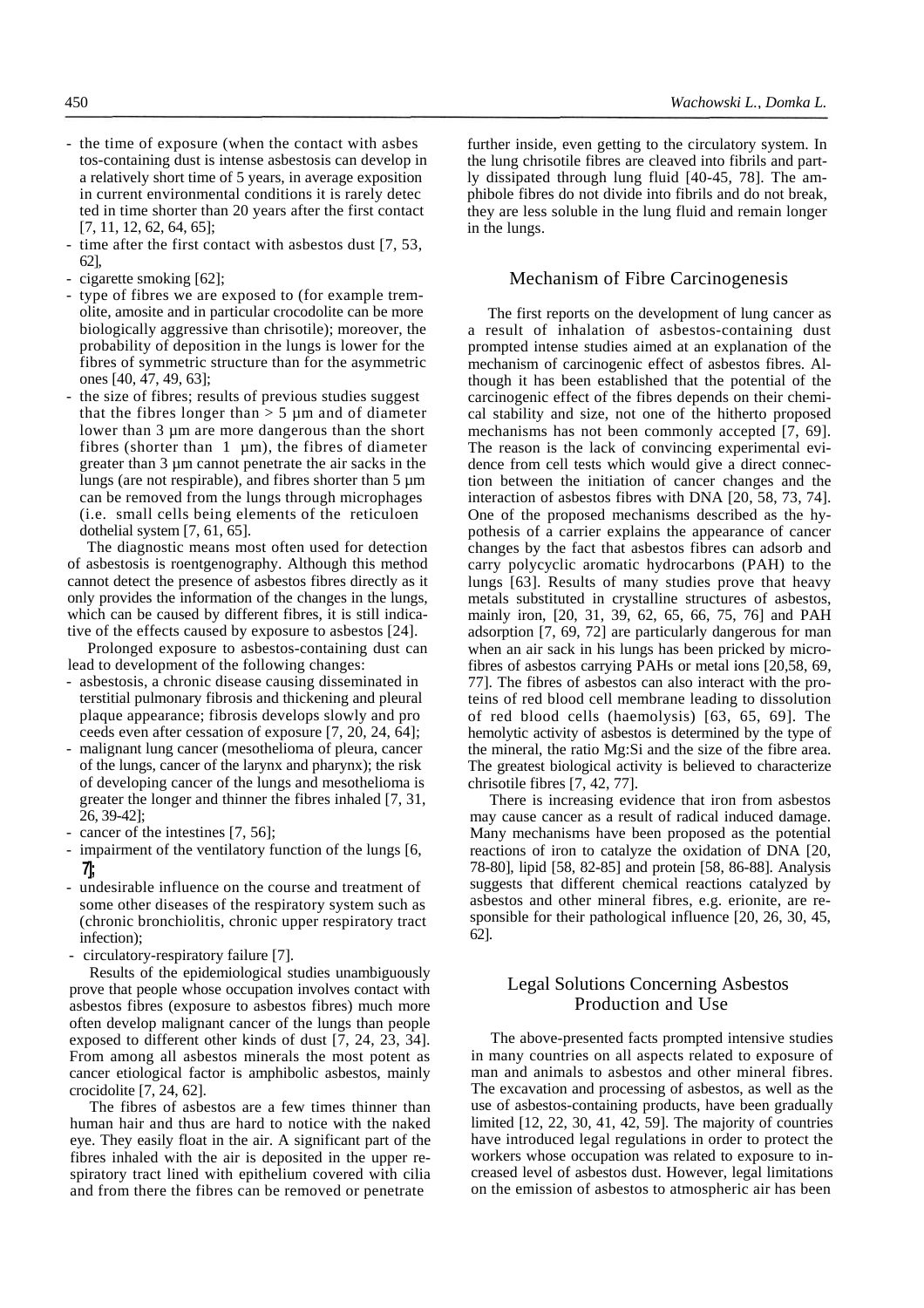- the time of exposure (when the contact with asbes tos-containing dust is intense asbestosis can develop in a relatively short time of 5 years, in average exposition in current environmental conditions it is rarely detec ted in time shorter than 20 years after the first contact [7, 11, 12, 62, 64, 65];
- time after the first contact with asbestos dust  $[7, 53, 1]$ 62],
- cigarette smoking [62];
- type of fibres we are exposed to (for example tremolite, amosite and in particular crocodolite can be more biologically aggressive than chrisotile); moreover, the probability of deposition in the lungs is lower for the fibres of symmetric structure than for the asymmetric ones [40, 47, 49, 63];
- the size of fibres; results of previous studies suggest that the fibres longer than  $> 5 \mu$ m and of diameter lower than 3 µm are more dangerous than the short fibres (shorter than  $1 \mu m$ ), the fibres of diameter greater than 3 µm cannot penetrate the air sacks in the lungs (are not respirable), and fibres shorter than 5 µm can be removed from the lungs through microphages (i.e. small cells being elements of the reticuloen dothelial system [7, 61, 65].

The diagnostic means most often used for detection of asbestosis is roentgenography. Although this method cannot detect the presence of asbestos fibres directly as it only provides the information of the changes in the lungs, which can be caused by different fibres, it is still indicative of the effects caused by exposure to asbestos [24].

Prolonged exposure to asbestos-containing dust can lead to development of the following changes:

- asbestosis, a chronic disease causing disseminated in terstitial pulmonary fibrosis and thickening and pleural plaque appearance; fibrosis develops slowly and pro ceeds even after cessation of exposure [7, 20, 24, 64];
- malignant lung cancer (mesothelioma of pleura, cancer of the lungs, cancer of the larynx and pharynx); the risk of developing cancer of the lungs and mesothelioma is greater the longer and thinner the fibres inhaled [7, 31, 26, 39-42];
- cancer of the intestines [7, 56];
- impairment of the ventilatory function of the lungs [6, **7];**
- undesirable influence on the course and treatment of some other diseases of the respiratory system such as (chronic bronchiolitis, chronic upper respiratory tract infection);
- circulatory-respiratory failure [7].

Results of the epidemiological studies unambiguously prove that people whose occupation involves contact with asbestos fibres (exposure to asbestos fibres) much more often develop malignant cancer of the lungs than people exposed to different other kinds of dust [7, 24, 23, 34]. From among all asbestos minerals the most potent as cancer etiological factor is amphibolic asbestos, mainly crocidolite [7, 24, 62].

The fibres of asbestos are a few times thinner than human hair and thus are hard to notice with the naked eye. They easily float in the air. A significant part of the fibres inhaled with the air is deposited in the upper respiratory tract lined with epithelium covered with cilia and from there the fibres can be removed or penetrate

further inside, even getting to the circulatory system. In the lung chrisotile fibres are cleaved into fibrils and partly dissipated through lung fluid [40-45, 78]. The amphibole fibres do not divide into fibrils and do not break, they are less soluble in the lung fluid and remain longer in the lungs.

#### Mechanism of Fibre Carcinogenesis

The first reports on the development of lung cancer as a result of inhalation of asbestos-containing dust prompted intense studies aimed at an explanation of the mechanism of carcinogenic effect of asbestos fibres. Although it has been established that the potential of the carcinogenic effect of the fibres depends on their chemical stability and size, not one of the hitherto proposed mechanisms has not been commonly accepted [7, 69]. The reason is the lack of convincing experimental evidence from cell tests which would give a direct connection between the initiation of cancer changes and the interaction of asbestos fibres with DNA [20, 58, 73, 74]. One of the proposed mechanisms described as the hypothesis of a carrier explains the appearance of cancer changes by the fact that asbestos fibres can adsorb and carry polycyclic aromatic hydrocarbons (PAH) to the lungs [63]. Results of many studies prove that heavy metals substituted in crystalline structures of asbestos, mainly iron, [20, 31, 39, 62, 65, 66, 75, 76] and PAH adsorption [7, 69, 72] are particularly dangerous for man when an air sack in his lungs has been pricked by microfibres of asbestos carrying PAHs or metal ions [20,58, 69, 77]. The fibres of asbestos can also interact with the proteins of red blood cell membrane leading to dissolution of red blood cells (haemolysis) [63, 65, 69]. The hemolytic activity of asbestos is determined by the type of the mineral, the ratio Mg:Si and the size of the fibre area. The greatest biological activity is believed to characterize chrisotile fibres [7, 42, 77].

There is increasing evidence that iron from asbestos may cause cancer as a result of radical induced damage. Many mechanisms have been proposed as the potential reactions of iron to catalyze the oxidation of DNA [20, 78-80], lipid [58, 82-85] and protein [58, 86-88]. Analysis suggests that different chemical reactions catalyzed by asbestos and other mineral fibres, e.g. erionite, are responsible for their pathological influence [20, 26, 30, 45, 62].

## Legal Solutions Concerning Asbestos Production and Use

The above-presented facts prompted intensive studies in many countries on all aspects related to exposure of man and animals to asbestos and other mineral fibres. The excavation and processing of asbestos, as well as the use of asbestos-containing products, have been gradually limited [12, 22, 30, 41, 42, 59]. The majority of countries have introduced legal regulations in order to protect the workers whose occupation was related to exposure to increased level of asbestos dust. However, legal limitations on the emission of asbestos to atmospheric air has been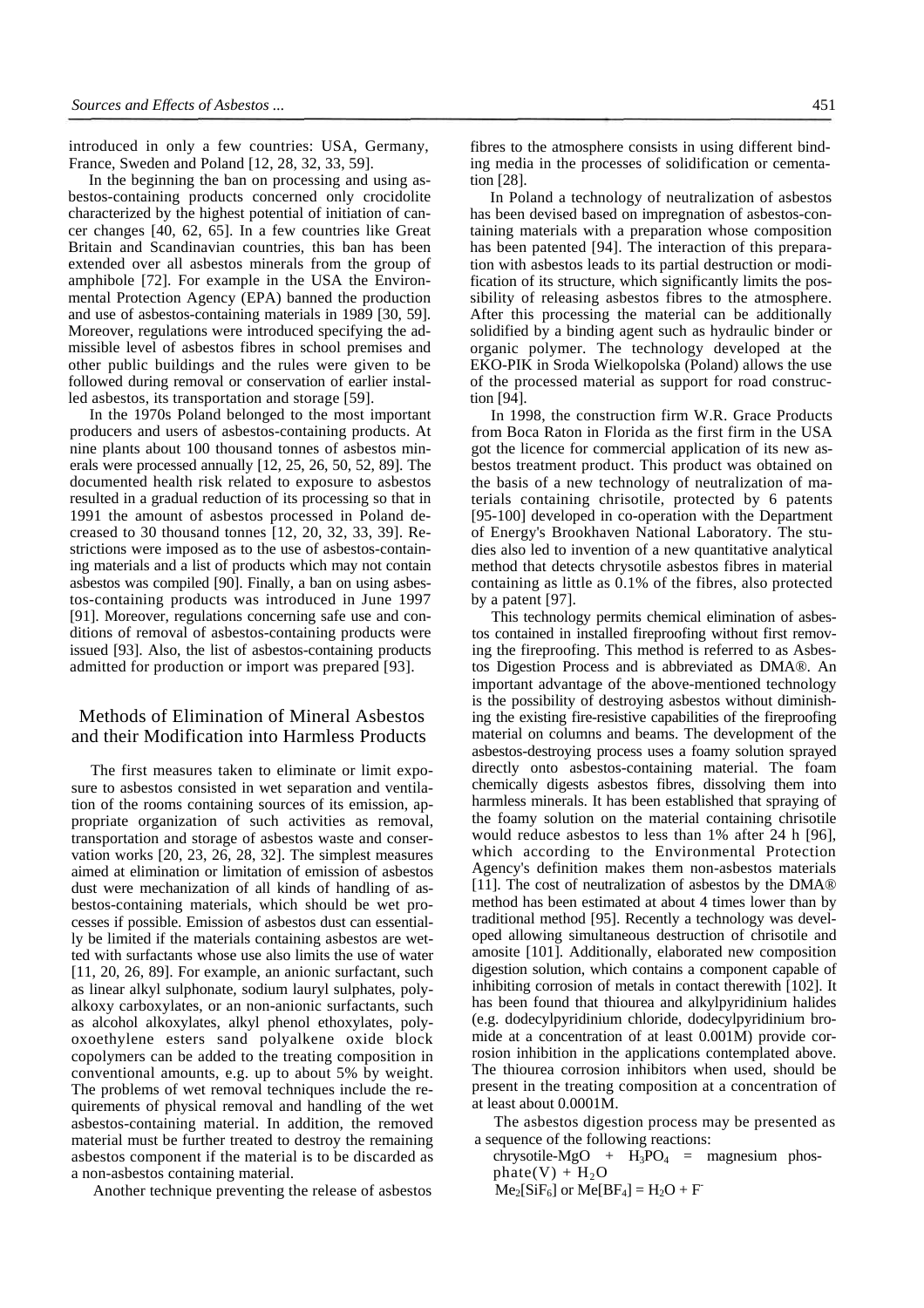introduced in only a few countries: USA, Germany, France, Sweden and Poland [12, 28, 32, 33, 59].

In the beginning the ban on processing and using asbestos-containing products concerned only crocidolite characterized by the highest potential of initiation of cancer changes [40, 62, 65]. In a few countries like Great Britain and Scandinavian countries, this ban has been extended over all asbestos minerals from the group of amphibole [72]. For example in the USA the Environmental Protection Agency (EPA) banned the production and use of asbestos-containing materials in 1989 [30, 59]. Moreover, regulations were introduced specifying the admissible level of asbestos fibres in school premises and other public buildings and the rules were given to be followed during removal or conservation of earlier installed asbestos, its transportation and storage [59].

In the 1970s Poland belonged to the most important producers and users of asbestos-containing products. At nine plants about 100 thousand tonnes of asbestos minerals were processed annually [12, 25, 26, 50, 52, 89]. The documented health risk related to exposure to asbestos resulted in a gradual reduction of its processing so that in 1991 the amount of asbestos processed in Poland decreased to 30 thousand tonnes [12, 20, 32, 33, 39]. Restrictions were imposed as to the use of asbestos-containing materials and a list of products which may not contain asbestos was compiled [90]. Finally, a ban on using asbestos-containing products was introduced in June 1997 [91]. Moreover, regulations concerning safe use and conditions of removal of asbestos-containing products were issued [93]. Also, the list of asbestos-containing products admitted for production or import was prepared [93].

## Methods of Elimination of Mineral Asbestos and their Modification into Harmless Products

The first measures taken to eliminate or limit exposure to asbestos consisted in wet separation and ventilation of the rooms containing sources of its emission, appropriate organization of such activities as removal, transportation and storage of asbestos waste and conservation works [20, 23, 26, 28, 32]. The simplest measures aimed at elimination or limitation of emission of asbestos dust were mechanization of all kinds of handling of asbestos-containing materials, which should be wet processes if possible. Emission of asbestos dust can essentially be limited if the materials containing asbestos are wetted with surfactants whose use also limits the use of water [11, 20, 26, 89]. For example, an anionic surfactant, such as linear alkyl sulphonate, sodium lauryl sulphates, polyalkoxy carboxylates, or an non-anionic surfactants, such as alcohol alkoxylates, alkyl phenol ethoxylates, polyoxoethylene esters sand polyalkene oxide block copolymers can be added to the treating composition in conventional amounts, e.g. up to about 5% by weight. The problems of wet removal techniques include the requirements of physical removal and handling of the wet asbestos-containing material. In addition, the removed material must be further treated to destroy the remaining asbestos component if the material is to be discarded as a non-asbestos containing material.

Another technique preventing the release of asbestos

fibres to the atmosphere consists in using different binding media in the processes of solidification or cementation [28].

In Poland a technology of neutralization of asbestos has been devised based on impregnation of asbestos-containing materials with a preparation whose composition has been patented [94]. The interaction of this preparation with asbestos leads to its partial destruction or modification of its structure, which significantly limits the possibility of releasing asbestos fibres to the atmosphere. After this processing the material can be additionally solidified by a binding agent such as hydraulic binder or organic polymer. The technology developed at the EKO-PIK in Sroda Wielkopolska (Poland) allows the use of the processed material as support for road construction [94].

In 1998, the construction firm W.R. Grace Products from Boca Raton in Florida as the first firm in the USA got the licence for commercial application of its new asbestos treatment product. This product was obtained on the basis of a new technology of neutralization of materials containing chrisotile, protected by 6 patents [95-100] developed in co-operation with the Department of Energy's Brookhaven National Laboratory. The studies also led to invention of a new quantitative analytical method that detects chrysotile asbestos fibres in material containing as little as 0.1% of the fibres, also protected by a patent [97].

This technology permits chemical elimination of asbestos contained in installed fireproofing without first removing the fireproofing. This method is referred to as Asbestos Digestion Process and is abbreviated as DMA®. An important advantage of the above-mentioned technology is the possibility of destroying asbestos without diminishing the existing fire-resistive capabilities of the fireproofing material on columns and beams. The development of the asbestos-destroying process uses a foamy solution sprayed directly onto asbestos-containing material. The foam chemically digests asbestos fibres, dissolving them into harmless minerals. It has been established that spraying of the foamy solution on the material containing chrisotile would reduce asbestos to less than 1% after 24 h [96], which according to the Environmental Protection Agency's definition makes them non-asbestos materials [11]. The cost of neutralization of asbestos by the DMA® method has been estimated at about 4 times lower than by traditional method [95]. Recently a technology was developed allowing simultaneous destruction of chrisotile and amosite [101]. Additionally, elaborated new composition digestion solution, which contains a component capable of inhibiting corrosion of metals in contact therewith [102]. It has been found that thiourea and alkylpyridinium halides (e.g. dodecylpyridinium chloride, dodecylpyridinium bromide at a concentration of at least 0.001M) provide corrosion inhibition in the applications contemplated above. The thiourea corrosion inhibitors when used, should be present in the treating composition at a concentration of at least about 0.0001M.

The asbestos digestion process may be presented as a sequence of the following reactions:

chrysotile-MgO +  $H_3PO_4$  = magnesium phos $phate(V) + H<sub>2</sub>O$  $Me<sub>2</sub>[SiF<sub>6</sub>]$  or  $Me[BF<sub>4</sub>] = H<sub>2</sub>O + F<sub>1</sub>$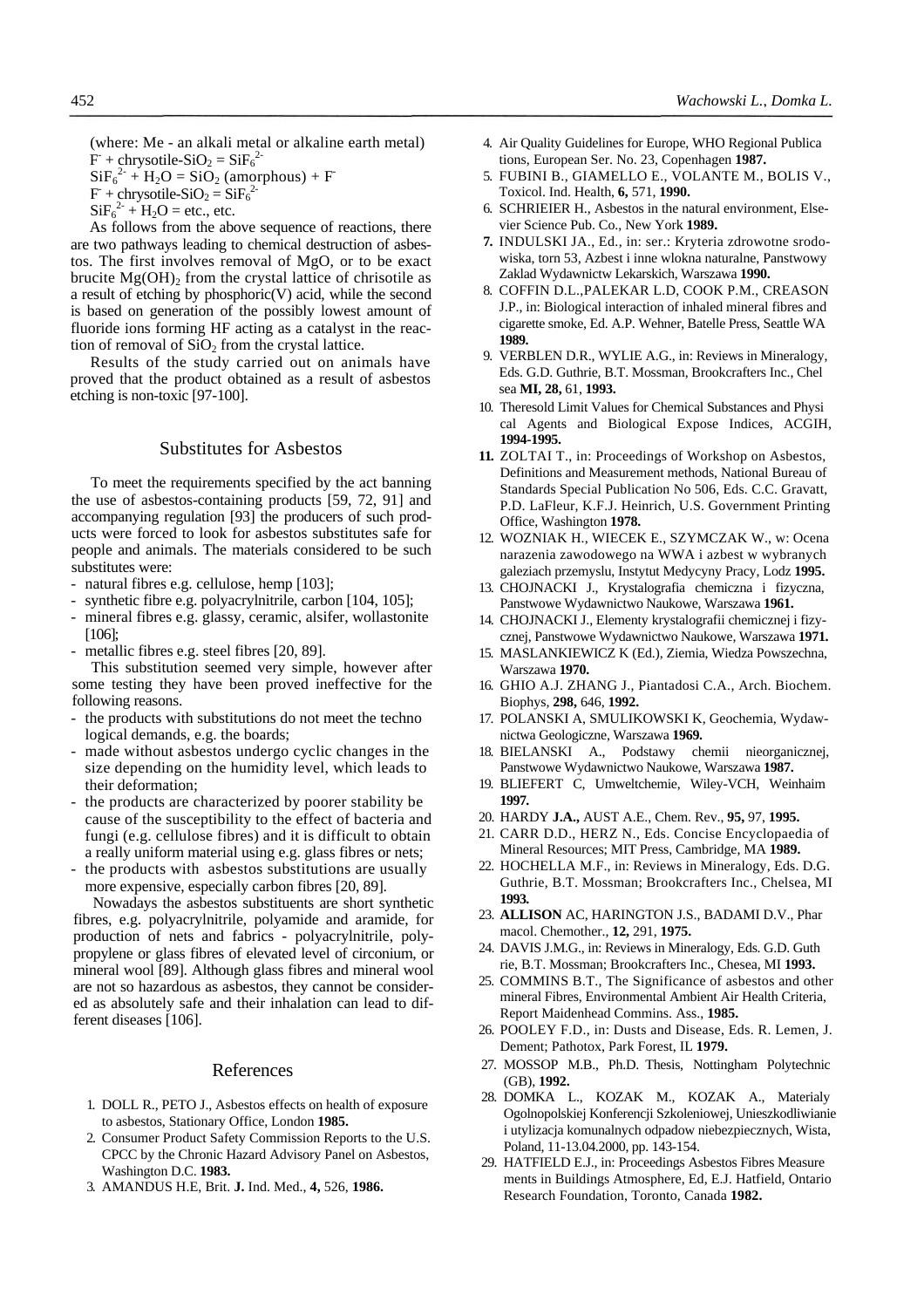(where: Me - an alkali metal or alkaline earth metal)  $\dot{F}$  + chrysotile-SiO<sub>2</sub> = SiF<sub>6</sub><sup>2-</sup>  $\text{SiF}_6^{2-} + \text{H}_2\text{O} = \text{SiO}_2 \text{ (amorphous)} + \text{F}$  $F +$ chrysotile-SiO<sub>2</sub> = SiF<sub>6</sub><sup>2</sup>  $\text{SiF}_6^2 + \text{H}_2\text{O} = \text{etc.}, \text{etc.}$ 

As follows from the above sequence of reactions, there are two pathways leading to chemical destruction of asbestos. The first involves removal of MgO, or to be exact brucite  $Mg(OH)$ <sub>2</sub> from the crystal lattice of chrisotile as a result of etching by phosphoric(V) acid, while the second is based on generation of the possibly lowest amount of fluoride ions forming HF acting as a catalyst in the reaction of removal of  $SiO<sub>2</sub>$  from the crystal lattice.

Results of the study carried out on animals have proved that the product obtained as a result of asbestos etching is non-toxic [97-100].

## Substitutes for Asbestos

To meet the requirements specified by the act banning the use of asbestos-containing products [59, 72, 91] and accompanying regulation [93] the producers of such products were forced to look for asbestos substitutes safe for people and animals. The materials considered to be such substitutes were:

- natural fibres e.g. cellulose, hemp [103];
- synthetic fibre e.g. polyacrylnitrile, carbon [104, 105];
- mineral fibres e.g. glassy, ceramic, alsifer, wollastonite [106];
- metallic fibres e.g. steel fibres [20, 89].

This substitution seemed very simple, however after some testing they have been proved ineffective for the following reasons.

- the products with substitutions do not meet the technological demands, e.g. the boards;
- made without asbestos undergo cyclic changes in the size depending on the humidity level, which leads to their deformation;
- the products are characterized by poorer stability be cause of the susceptibility to the effect of bacteria and fungi (e.g. cellulose fibres) and it is difficult to obtain a really uniform material using e.g. glass fibres or nets;
- the products with asbestos substitutions are usually more expensive, especially carbon fibres [20, 89].

Nowadays the asbestos substituents are short synthetic fibres, e.g. polyacrylnitrile, polyamide and aramide, for production of nets and fabrics - polyacrylnitrile, polypropylene or glass fibres of elevated level of circonium, or mineral wool [89]. Although glass fibres and mineral wool are not so hazardous as asbestos, they cannot be considered as absolutely safe and their inhalation can lead to different diseases [106].

#### References

- 1. DOLL R., PETO J., Asbestos effects on health of exposure to asbestos, Stationary Office, London **1985.**
- 2. Consumer Product Safety Commission Reports to the U.S. CPCC by the Chronic Hazard Advisory Panel on Asbestos, Washington D.C. **1983.**
- 3. AMANDUS H.E, Brit. **J.** Ind. Med., **4,** 526, **1986.**
- 4. Air Quality Guidelines for Europe, WHO Regional Publica tions, European Ser. No. 23, Copenhagen **1987.**
- 5. FUBINI B., GIAMELLO E., VOLANTE M., BOLIS V., Toxicol. Ind. Health, **6,** 571, **1990.**
- 6. SCHRIEIER H., Asbestos in the natural environment, Elsevier Science Pub. Co., New York **1989.**
- **7.** INDULSKI JA., Ed., in: ser.: Kryteria zdrowotne srodowiska, torn 53, Azbest i inne wlokna naturalne, Panstwowy Zaklad Wydawnictw Lekarskich, Warszawa **1990.**
- 8. COFFIN D.L.,PALEKAR L.D, COOK P.M., CREASON J.P., in: Biological interaction of inhaled mineral fibres and cigarette smoke, Ed. A.P. Wehner, Batelle Press, Seattle WA **1989.**
- 9. VERBLEN D.R., WYLIE A.G., in: Reviews in Mineralogy, Eds. G.D. Guthrie, B.T. Mossman, Brookcrafters Inc., Chel sea **MI, 28,** 61, **1993.**
- 10. Theresold Limit Values for Chemical Substances and Physi cal Agents and Biological Expose Indices, ACGIH, **1994-1995.**
- **11.** ZOLTAI T., in: Proceedings of Workshop on Asbestos, Definitions and Measurement methods, National Bureau of Standards Special Publication No 506, Eds. C.C. Gravatt, P.D. LaFleur, K.F.J. Heinrich, U.S. Government Printing Office, Washington **1978.**
- 12. WOZNIAK H., WIECEK E., SZYMCZAK W., w: Ocena narazenia zawodowego na WWA i azbest w wybranych galeziach przemyslu, Instytut Medycyny Pracy, Lodz **1995.**
- 13. CHOJNACKI J., Krystalografia chemiczna i fizyczna, Panstwowe Wydawnictwo Naukowe, Warszawa **1961.**
- 14. CHOJNACKI J., Elementy krystalografii chemicznej i fizycznej, Panstwowe Wydawnictwo Naukowe, Warszawa **1971.**
- 15. MASLANKIEWICZ K (Ed.), Ziemia, Wiedza Powszechna, Warszawa **1970.**
- 16. GHIO A.J. ZHANG J., Piantadosi C.A., Arch. Biochem. Biophys, **298,** 646, **1992.**
- 17. POLANSKI A, SMULIKOWSKI K, Geochemia, Wydawnictwa Geologiczne, Warszawa **1969.**
- 18. BIELANSKI A., Podstawy chemii nieorganicznej, Panstwowe Wydawnictwo Naukowe, Warszawa **1987.**
- 19. BLIEFERT C, Umweltchemie, Wiley-VCH, Weinhaim **1997.**
- 20. HARDY **J.A.,** AUST A.E., Chem. Rev., **95,** 97, **1995.**
- 21. CARR D.D., HERZ N., Eds. Concise Encyclopaedia of Mineral Resources; MIT Press, Cambridge, MA **1989.**
- 22. HOCHELLA M.F., in: Reviews in Mineralogy, Eds. D.G. Guthrie, B.T. Mossman; Brookcrafters Inc., Chelsea, MI **1993.**
- 23. **ALLISON** AC, HARINGTON J.S., BADAMI D.V., Phar macol. Chemother., **12,** 291, **1975.**
- 24. DAVIS J.M.G., in: Reviews in Mineralogy, Eds. G.D. Guth rie, B.T. Mossman; Brookcrafters Inc., Chesea, MI **1993.**
- 25. COMMINS B.T., The Significance of asbestos and other mineral Fibres, Environmental Ambient Air Health Criteria, Report Maidenhead Commins. Ass., **1985.**
- 26. POOLEY F.D., in: Dusts and Disease, Eds. R. Lemen, J. Dement; Pathotox, Park Forest, IL **1979.**
- 27. MOSSOP M.B., Ph.D. Thesis, Nottingham Polytechnic (GB), **1992.**
- 28. DOMKA L., KOZAK M., KOZAK A., Materialy Ogolnopolskiej Konferencji Szkoleniowej, Unieszkodliwianie i utylizacja komunalnych odpadow niebezpiecznych, Wista, Poland, 11-13.04.2000, pp. 143-154.
- 29. HATFIELD E.J., in: Proceedings Asbestos Fibres Measure ments in Buildings Atmosphere, Ed, E.J. Hatfield, Ontario Research Foundation, Toronto, Canada **1982.**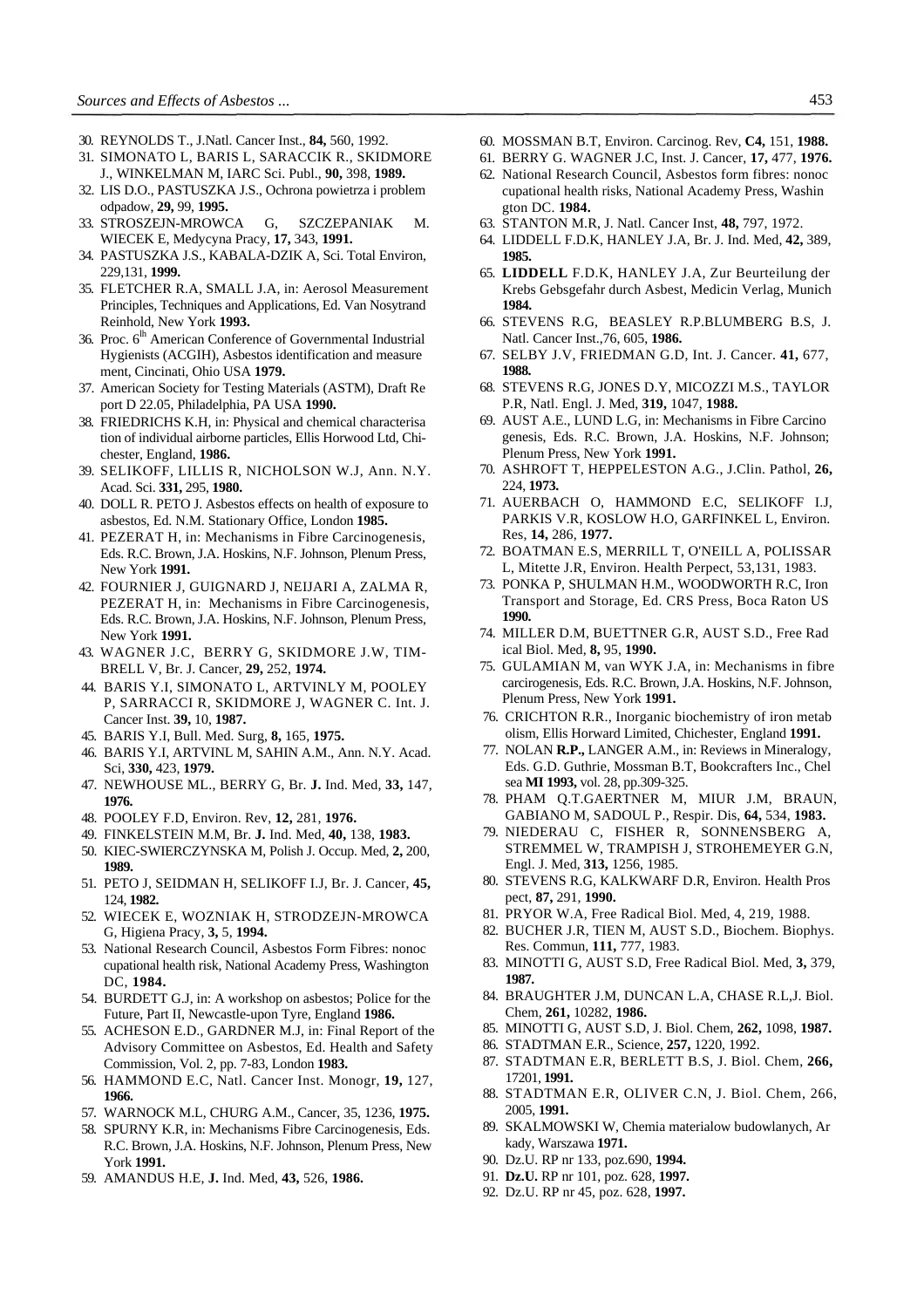- 30. REYNOLDS T., J.Natl. Cancer Inst., **84,** 560, 1992.
- 31. SIMONATO L, BARIS L, SARACCIK R., SKIDMORE J., WINKELMAN M, IARC Sci. Publ., **90,** 398, **1989.**
- 32. LIS D.O., PASTUSZKA J.S., Ochrona powietrza i problem odpadow, **29,** 99, **1995.**
- 33. STROSZEJN-MROWCA G, SZCZEPANIAK M. WIECEK E, Medycyna Pracy, **17,** 343, **1991.**
- 34. PASTUSZKA J.S., KABALA-DZIK A, Sci. Total Environ, 229,131, **1999.**
- 35. FLETCHER R.A, SMALL J.A, in: Aerosol Measurement Principles, Techniques and Applications, Ed. Van Nosytrand Reinhold, New York **1993.**
- 36. Proc. 6<sup>lh</sup> American Conference of Governmental Industrial Hygienists (ACGIH), Asbestos identification and measure ment, Cincinati, Ohio USA **1979.**
- 37. American Society for Testing Materials (ASTM), Draft Re port D 22.05, Philadelphia, PA USA **1990.**
- 38. FRIEDRICHS K.H, in: Physical and chemical characterisa tion of individual airborne particles, Ellis Horwood Ltd, Chichester, England, **1986.**
- 39. SELIKOFF, LILLIS R, NICHOLSON W.J, Ann. N.Y. Acad. Sci. **331,** 295, **1980.**
- 40. DOLL R. PETO J. Asbestos effects on health of exposure to asbestos, Ed. N.M. Stationary Office, London **1985.**
- 41. PEZERAT H, in: Mechanisms in Fibre Carcinogenesis, Eds. R.C. Brown, J.A. Hoskins, N.F. Johnson, Plenum Press, New York **1991.**
- 42. FOURNIER J, GUIGNARD J, NEIJARI A, ZALMA R, PEZERAT H, in: Mechanisms in Fibre Carcinogenesis, Eds. R.C. Brown, J.A. Hoskins, N.F. Johnson, Plenum Press, New York **1991.**
- 43. WAGNER J.C, BERRY G, SKIDMORE J.W, TIM-BRELL V, Br. J. Cancer, **29,** 252, **1974.**
- 44. BARIS Y.I, SIMONATO L, ARTVINLY M, POOLEY P, SARRACCI R, SKIDMORE J, WAGNER C. Int. J. Cancer Inst. **39,** 10, **1987.**
- 45. BARIS Y.I, Bull. Med. Surg, **8,** 165, **1975.**
- 46. BARIS Y.I, ARTVINL M, SAHIN A.M., Ann. N.Y. Acad. Sci, **330,** 423, **1979.**
- 47. NEWHOUSE ML., BERRY G, Br. **J.** Ind. Med, **33,** 147, **1976.**
- 48. POOLEY F.D, Environ. Rev, **12,** 281, **1976.**
- 49. FINKELSTEIN M.M, Br. **J.** Ind. Med, **40,** 138, **1983.**
- 50. KIEC-SWIERCZYNSKA M, Polish J. Occup. Med, **2,** 200, **1989.**
- 51. PETO J, SEIDMAN H, SELIKOFF I.J, Br. J. Cancer, **45,**  124, **1982.**
- 52. WIECEK E, WOZNIAK H, STRODZEJN-MROWCA G, Higiena Pracy, **3,** 5, **1994.**
- 53. National Research Council, Asbestos Form Fibres: nonoc cupational health risk, National Academy Press, Washington DC, **1984.**
- 54. BURDETT G.J, in: A workshop on asbestos; Police for the Future, Part II, Newcastle-upon Tyre, England **1986.**
- 55. ACHESON E.D., GARDNER M.J, in: Final Report of the Advisory Committee on Asbestos, Ed. Health and Safety Commission, Vol. 2, pp. 7-83, London **1983.**
- 56. HAMMOND E.C, Natl. Cancer Inst. Monogr, **19,** 127, **1966.**
- 57. WARNOCK M.L, CHURG A.M., Cancer, 35, 1236, **1975.**
- 58. SPURNY K.R, in: Mechanisms Fibre Carcinogenesis, Eds. R.C. Brown, J.A. Hoskins, N.F. Johnson, Plenum Press, New York **1991.**
- 59. AMANDUS H.E, **J.** Ind. Med, **43,** 526, **1986.**
- 60. MOSSMAN B.T, Environ. Carcinog. Rev, **C4,** 151, **1988.**
- 61. BERRY G. WAGNER J.C, Inst. J. Cancer, **17,** 477, **1976.**
- 62. National Research Council, Asbestos form fibres: nonoc cupational health risks, National Academy Press, Washin gton DC. **1984.**
- 63. STANTON M.R, J. Natl. Cancer Inst, **48,** 797, 1972.
- 64. LIDDELL F.D.K, HANLEY J.A, Br. J. Ind. Med, **42,** 389, **1985.**
- 65. **LIDDELL** F.D.K, HANLEY J.A, Zur Beurteilung der Krebs Gebsgefahr durch Asbest, Medicin Verlag, Munich **1984.**
- 66. STEVENS R.G, BEASLEY R.P.BLUMBERG B.S, J. Natl. Cancer Inst.,76, 605, **1986.**
- 67. SELBY J.V, FRIEDMAN G.D, Int. J. Cancer. **41,** 677, **1988.**
- 68. STEVENS R.G, JONES D.Y, MICOZZI M.S., TAYLOR P.R, Natl. Engl. J. Med, **319,** 1047, **1988.**
- 69. AUST A.E., LUND L.G, in: Mechanisms in Fibre Carcino genesis, Eds. R.C. Brown, J.A. Hoskins, N.F. Johnson; Plenum Press, New York **1991.**
- 70. ASHROFT T, HEPPELESTON A.G., J.Clin. Pathol, **26,**  224, **1973.**
- 71. AUERBACH O, HAMMOND E.C, SELIKOFF I.J, PARKIS V.R, KOSLOW H.O, GARFINKEL L, Environ. Res, **14,** 286, **1977.**
- 72. BOATMAN E.S, MERRILL T, O'NEILL A, POLISSAR L, Mitette J.R, Environ. Health Perpect, 53,131, 1983.
- 73. PONKA P, SHULMAN H.M., WOODWORTH R.C, Iron Transport and Storage, Ed. CRS Press, Boca Raton US **1990.**
- 74. MILLER D.M, BUETTNER G.R, AUST S.D., Free Rad ical Biol. Med, **8,** 95, **1990.**
- 75. GULAMIAN M, van WYK J.A, in: Mechanisms in fibre carcirogenesis, Eds. R.C. Brown, J.A. Hoskins, N.F. Johnson, Plenum Press, New York **1991.**
- 76. CRICHTON R.R., Inorganic biochemistry of iron metab olism, Ellis Horward Limited, Chichester, England **1991.**
- 77. NOLAN **R.P.,** LANGER A.M., in: Reviews in Mineralogy, Eds. G.D. Guthrie, Mossman B.T, Bookcrafters Inc., Chel sea **MI 1993,** vol. 28, pp.309-325.
- 78. PHAM Q.T.GAERTNER M, MIUR J.M, BRAUN, GABIANO M, SADOUL P., Respir. Dis, **64,** 534, **1983.**
- 79. NIEDERAU C, FISHER R, SONNENSBERG A, STREMMEL W, TRAMPISH J, STROHEMEYER G.N, Engl. J. Med, **313,** 1256, 1985.
- 80. STEVENS R.G, KALKWARF D.R, Environ. Health Pros pect, **87,** 291, **1990.**
- 81. PRYOR W.A, Free Radical Biol. Med, 4, 219, 1988.
- 82. BUCHER J.R, TIEN M, AUST S.D., Biochem. Biophys. Res. Commun, **111,** 777, 1983.
- 83. MINOTTI G, AUST S.D, Free Radical Biol. Med, **3,** 379, **1987.**
- 84. BRAUGHTER J.M, DUNCAN L.A, CHASE R.L,J. Biol. Chem, **261,** 10282, **1986.**
- 85. MINOTTI G, AUST S.D, J. Biol. Chem, **262,** 1098, **1987.**
- 86. STADTMAN E.R., Science, **257,** 1220, 1992.
- 87. STADTMAN E.R, BERLETT B.S, J. Biol. Chem, **266,**  17201, **1991.**
- 88. STADTMAN E.R, OLIVER C.N, J. Biol. Chem, 266, 2005, **1991.**
- 89. SKALMOWSKI W, Chemia materialow budowlanych, Ar kady, Warszawa **1971.**
- 90. Dz.U. RP nr 133, poz.690, **1994.**
- 91. **Dz.U.** RP nr 101, poz. 628, **1997.**
- 92. Dz.U. RP nr 45, poz. 628, **1997.**